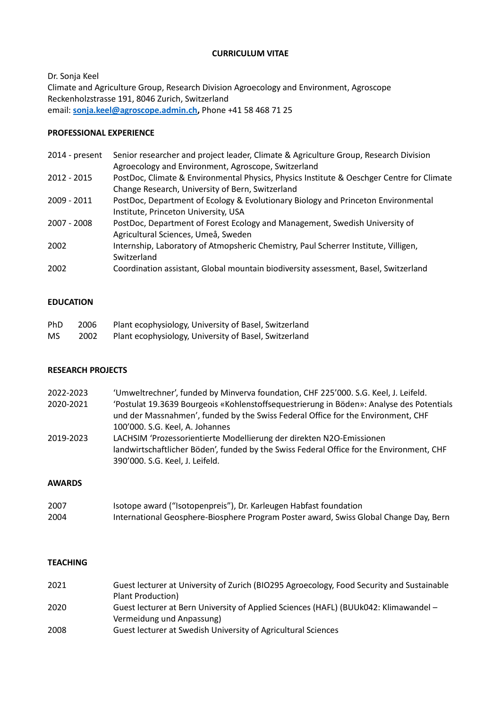# **CURRICULUM VITAE**

Dr. Sonja Keel Climate and Agriculture Group, Research Division Agroecology and Environment, Agroscope Reckenholzstrasse 191, 8046 Zurich, Switzerland email: **[sonja.keel@agroscope.admin.ch,](mailto:sonja.keel@agroscope.admin.ch)** Phone +41 58 468 71 25

## **PROFESSIONAL EXPERIENCE**

| 2014 - present | Senior researcher and project leader, Climate & Agriculture Group, Research Division<br>Agroecology and Environment, Agroscope, Switzerland   |
|----------------|-----------------------------------------------------------------------------------------------------------------------------------------------|
| 2012 - 2015    | PostDoc, Climate & Environmental Physics, Physics Institute & Oeschger Centre for Climate<br>Change Research, University of Bern, Switzerland |
| 2009 - 2011    | PostDoc, Department of Ecology & Evolutionary Biology and Princeton Environmental<br>Institute, Princeton University, USA                     |
| 2007 - 2008    | PostDoc, Department of Forest Ecology and Management, Swedish University of<br>Agricultural Sciences, Umeå, Sweden                            |
| 2002           | Internship, Laboratory of Atmopsheric Chemistry, Paul Scherrer Institute, Villigen,<br>Switzerland                                            |
| 2002           | Coordination assistant, Global mountain biodiversity assessment, Basel, Switzerland                                                           |

# **EDUCATION**

| <b>PhD</b> | 2006 | Plant ecophysiology, University of Basel, Switzerland |
|------------|------|-------------------------------------------------------|
| <b>MS</b>  | 2002 | Plant ecophysiology, University of Basel, Switzerland |

### **RESEARCH PROJECTS**

| 2022-2023 | 'Umweltrechner', funded by Minverva foundation, CHF 225'000. S.G. Keel, J. Leifeld.      |
|-----------|------------------------------------------------------------------------------------------|
| 2020-2021 | 'Postulat 19.3639 Bourgeois «Kohlenstoffsequestrierung in Böden»: Analyse des Potentials |
|           | und der Massnahmen', funded by the Swiss Federal Office for the Environment, CHF         |
|           | 100'000. S.G. Keel, A. Johannes                                                          |
| 2019-2023 | LACHSIM 'Prozessorientierte Modellierung der direkten N2O-Emissionen                     |
|           | landwirtschaftlicher Böden', funded by the Swiss Federal Office for the Environment, CHF |
|           | 390'000. S.G. Keel, J. Leifeld.                                                          |

#### **AWARDS**

| 2007 | Isotope award ("Isotopenpreis"), Dr. Karleugen Habfast foundation                     |
|------|---------------------------------------------------------------------------------------|
| 2004 | International Geosphere-Biosphere Program Poster award, Swiss Global Change Day, Bern |

# **TEACHING**

| 2021 | Guest lecturer at University of Zurich (BIO295 Agroecology, Food Security and Sustainable |
|------|-------------------------------------------------------------------------------------------|
|      | Plant Production)                                                                         |
| 2020 | Guest lecturer at Bern University of Applied Sciences (HAFL) (BUUk042: Klimawandel -      |
|      | Vermeidung und Anpassung)                                                                 |
| 2008 | Guest lecturer at Swedish University of Agricultural Sciences                             |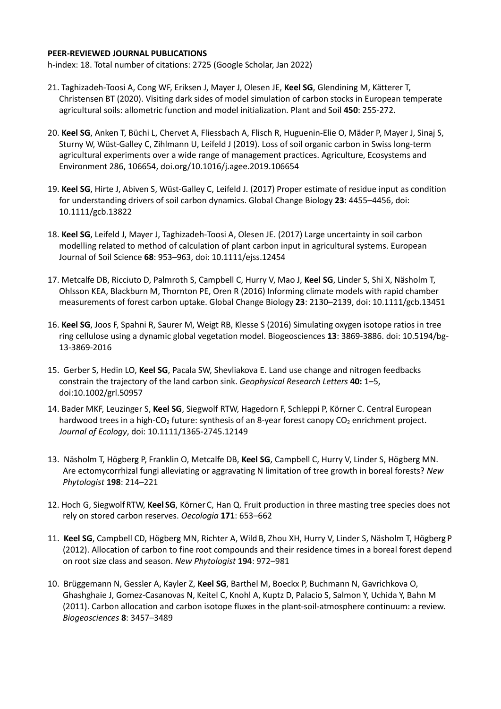#### **PEER-REVIEWED JOURNAL PUBLICATIONS**

h-index: 18. Total number of citations: 2725 (Google Scholar, Jan 2022)

- 21. Taghizadeh-Toosi A, Cong WF, Eriksen J, Mayer J, Olesen JE, **Keel SG**, Glendining M, Kätterer T, Christensen BT (2020). Visiting dark sides of model simulation of carbon stocks in European temperate agricultural soils: allometric function and model initialization. Plant and Soil **450**: 255-272.
- 20. **Keel SG**, Anken T, Büchi L, Chervet A, Fliessbach A, Flisch R, Huguenin-Elie O, Mäder P, Mayer J, Sinaj S, Sturny W, Wüst-Galley C, Zihlmann U, Leifeld J (2019). Loss of soil organic carbon in Swiss long-term agricultural experiments over a wide range of management practices. Agriculture, Ecosystems and Environment 286, 106654, doi.org/10.1016/j.agee.2019.106654
- 19. **Keel SG**, Hirte J, Abiven S, Wüst-Galley C, Leifeld J. (2017) Proper estimate of residue input as condition for understanding drivers of soil carbon dynamics. Global Change Biology **23**: 4455–4456, doi: 10.1111/gcb.13822
- 18. **Keel SG**, Leifeld J, Mayer J, Taghizadeh-Toosi A, Olesen JE. (2017) Large uncertainty in soil carbon modelling related to method of calculation of plant carbon input in agricultural systems. European Journal of Soil Science **68**: 953–963, doi: 10.1111/ejss.12454
- 17. Metcalfe DB, Ricciuto D, Palmroth S, Campbell C, Hurry V, Mao J, **Keel SG**, Linder S, Shi X, Näsholm T, Ohlsson KEA, Blackburn M, Thornton PE, Oren R (2016) Informing climate models with rapid chamber measurements of forest carbon uptake. Global Change Biology **23**: 2130–2139, doi: 10.1111/gcb.13451
- 16. **Keel SG**, Joos F, Spahni R, Saurer M, Weigt RB, Klesse S (2016) Simulating oxygen isotope ratios in tree ring cellulose using a dynamic global vegetation model. Biogeosciences **13**: 3869-3886. doi: 10.5194/bg-13-3869-2016
- 15. Gerber S, Hedin LO, **Keel SG**, Pacala SW, Shevliakova E. Land use change and nitrogen feedbacks constrain the trajectory of the land carbon sink. *Geophysical Research Letters* **40:** 1–5, doi:10.1002/grl.50957
- 14. Bader MKF, Leuzinger S, **Keel SG**, Siegwolf RTW, Hagedorn F, Schleppi P, Körner C. Central European hardwood trees in a high-CO<sub>2</sub> future: synthesis of an 8-year forest canopy CO<sub>2</sub> enrichment project. *Journal of Ecology*, doi: 10.1111/1365-2745.12149
- 13. Näsholm T, Högberg P, Franklin O, Metcalfe DB, **Keel SG**, Campbell C, Hurry V, Linder S, Högberg MN. Are ectomycorrhizal fungi alleviating or aggravating N limitation of tree growth in boreal forests? *New Phytologist* **198**: 214–221
- 12. Hoch G, Siegwolf RTW, **Keel SG**, Körner C, Han Q. Fruit production in three masting tree species does not rely on stored carbon reserves. *Oecologia* **171**: 653–662
- 11. **Keel SG**, Campbell CD, Högberg MN, Richter A, Wild B, Zhou XH, Hurry V, Linder S, Näsholm T, Högberg P (2012). Allocation of carbon to fine root compounds and their residence times in a boreal forest depend on root size class and season. *New Phytologist* **194**: 972–981
- 10. Brüggemann N, Gessler A, Kayler Z, **Keel SG**, Barthel M, Boeckx P, Buchmann N, Gavrichkova O, Ghashghaie J, Gomez-Casanovas N, Keitel C, Knohl A, Kuptz D, Palacio S, Salmon Y, Uchida Y, Bahn M (2011). Carbon allocation and carbon isotope fluxes in the plant-soil-atmosphere continuum: a review. *Biogeosciences* **8**: 3457–3489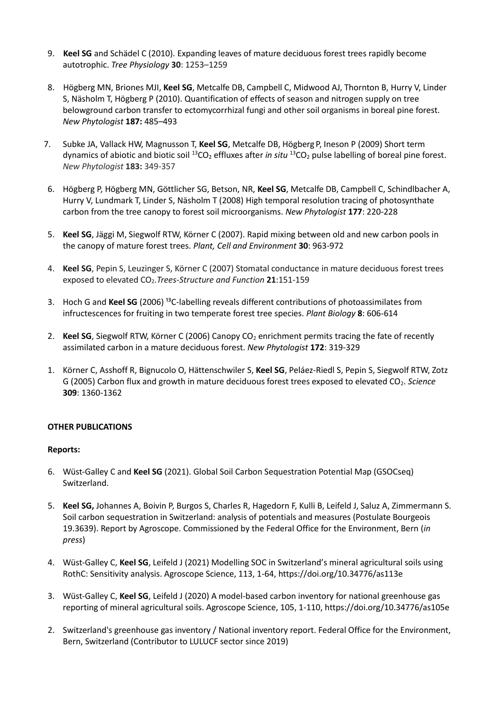- 9. **Keel SG** and Schädel C (2010). Expanding leaves of mature deciduous forest trees rapidly become autotrophic. *Tree Physiology* **30**: 1253–1259
- 8. Högberg MN, Briones MJI, **Keel SG**, Metcalfe DB, Campbell C, Midwood AJ, Thornton B, Hurry V, Linder S, Näsholm T, Högberg P (2010). Quantification of effects of season and nitrogen supply on tree belowground carbon transfer to ectomycorrhizal fungi and other soil organisms in boreal pine forest. *New Phytologist* **187:** 485–493
- 7. Subke JA, Vallack HW, Magnusson T, **Keel SG**, Metcalfe DB, Högberg P, Ineson P (2009) Short term dynamics of abiotic and biotic soil <sup>13</sup>CO<sub>2</sub> effluxes after *in situ* <sup>13</sup>CO<sub>2</sub> pulse labelling of boreal pine forest. *New Phytologist* **183:** 349-357
- 6. Högberg P, Högberg MN, Göttlicher SG, Betson, NR, **Keel SG**, Metcalfe DB, Campbell C, Schindlbacher A, Hurry V, Lundmark T, Linder S, Näsholm T (2008) High temporal resolution tracing of photosynthate carbon from the tree canopy to forest soil microorganisms. *New Phytologist* **177**: 220-228
- 5. **Keel SG**, Jäggi M, Siegwolf RTW, Körner C (2007). Rapid mixing between old and new carbon pools in the canopy of mature forest trees. *Plant, Cell and Environment* **30**: 963-972
- 4. **Keel SG**, Pepin S, Leuzinger S, Körner C (2007) Stomatal conductance in mature deciduous forest trees exposed to elevated CO2.*Trees-Structure and Function* **21**:151-159
- 3. Hoch G and Keel SG (2006)<sup>13</sup>C-labelling reveals different contributions of photoassimilates from infructescences for fruiting in two temperate forest tree species. *Plant Biology* **8**: 606-614
- 2. **Keel SG**, Siegwolf RTW, Körner C (2006) Canopy CO<sub>2</sub> enrichment permits tracing the fate of recently assimilated carbon in a mature deciduous forest. *New Phytologist* **172**: 319-329
- 1. Körner C, Asshoff R, Bignucolo O, Hättenschwiler S, **Keel SG**, Peláez-Riedl S, Pepin S, Siegwolf RTW, Zotz G (2005) Carbon flux and growth in mature deciduous forest trees exposed to elevated CO2. *Science* **309**: 1360-1362

### **OTHER PUBLICATIONS**

### **Reports:**

- 6. Wüst-Galley C and **Keel SG** (2021). Global Soil Carbon Sequestration Potential Map (GSOCseq) Switzerland.
- 5. **Keel SG,** Johannes A, Boivin P, Burgos S, Charles R, Hagedorn F, Kulli B, Leifeld J, Saluz A, Zimmermann S. Soil carbon sequestration in Switzerland: analysis of potentials and measures (Postulate Bourgeois 19.3639). Report by Agroscope. Commissioned by the Federal Office for the Environment, Bern (*in press*)
- 4. Wüst-Galley C, **Keel SG**, Leifeld J (2021) Modelling SOC in Switzerland's mineral agricultural soils using RothC: Sensitivity analysis. Agroscope Science, 113, 1-64, https://doi.org/10.34776/as113e
- 3. Wüst-Galley C, **Keel SG**, Leifeld J (2020) A model-based carbon inventory for national greenhouse gas reporting of mineral agricultural soils. Agroscope Science, 105, 1-110, https://doi.org/10.34776/as105e
- 2. Switzerland's greenhouse gas inventory / National inventory report. Federal Office for the Environment, Bern, Switzerland (Contributor to LULUCF sector since 2019)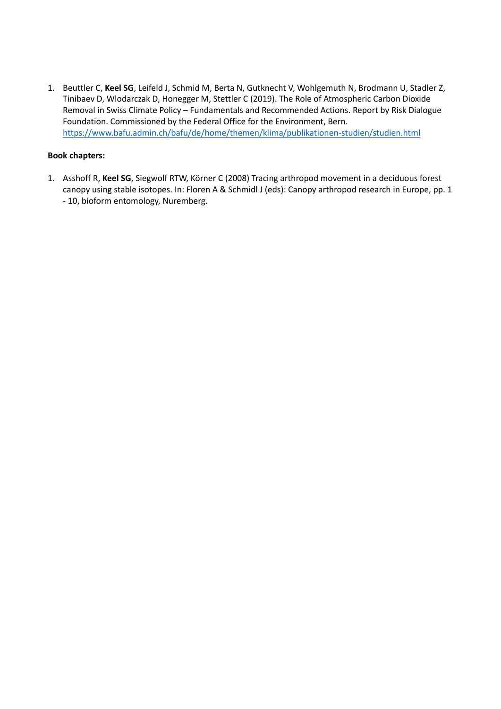1. Beuttler C, **Keel SG**, Leifeld J, Schmid M, Berta N, Gutknecht V, Wohlgemuth N, Brodmann U, Stadler Z, Tinibaev D, Wlodarczak D, Honegger M, Stettler C (2019). The Role of Atmospheric Carbon Dioxide Removal in Swiss Climate Policy – Fundamentals and Recommended Actions. Report by Risk Dialogue Foundation. Commissioned by the Federal Office for the Environment, Bern. <https://www.bafu.admin.ch/bafu/de/home/themen/klima/publikationen-studien/studien.html>

# **Book chapters:**

1. Asshoff R, **Keel SG**, Siegwolf RTW, Körner C (2008) Tracing arthropod movement in a deciduous forest canopy using stable isotopes. In: Floren A & Schmidl J (eds): Canopy arthropod research in Europe, pp. 1 - 10, bioform entomology, Nuremberg.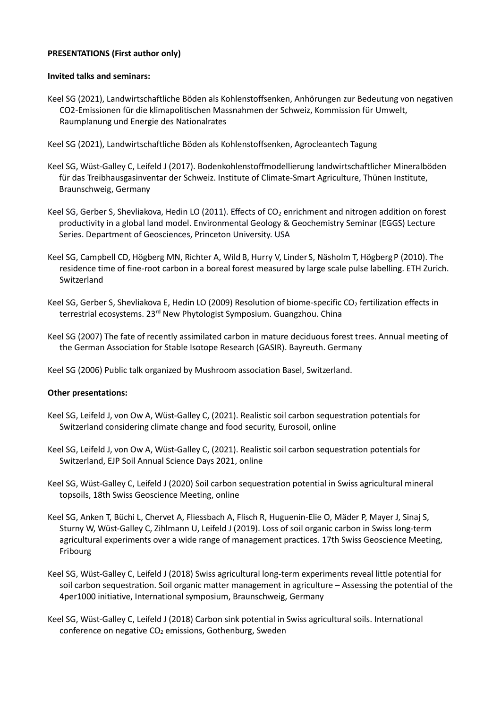### **PRESENTATIONS (First author only)**

### **Invited talks and seminars:**

- Keel SG (2021), Landwirtschaftliche Böden als Kohlenstoffsenken, Anhörungen zur Bedeutung von negativen CO2-Emissionen für die klimapolitischen Massnahmen der Schweiz, Kommission für Umwelt, Raumplanung und Energie des Nationalrates
- Keel SG (2021), Landwirtschaftliche Böden als Kohlenstoffsenken, Agrocleantech Tagung
- Keel SG, Wüst-Galley C, Leifeld J (2017). Bodenkohlenstoffmodellierung landwirtschaftlicher Mineralböden für das Treibhausgasinventar der Schweiz. Institute of Climate-Smart Agriculture, Thünen Institute, Braunschweig, Germany
- Keel SG, Gerber S, Shevliakova, Hedin LO (2011). Effects of CO<sub>2</sub> enrichment and nitrogen addition on forest productivity in a global land model. Environmental Geology & Geochemistry Seminar (EGGS) Lecture Series. Department of Geosciences, Princeton University. USA
- Keel SG, Campbell CD, Högberg MN, Richter A, Wild B, Hurry V, Linder S, Näsholm T, Högberg P (2010). The residence time of fine-root carbon in a boreal forest measured by large scale pulse labelling. ETH Zurich. Switzerland
- Keel SG, Gerber S, Shevliakova E, Hedin LO (2009) Resolution of biome-specific CO<sub>2</sub> fertilization effects in terrestrial ecosystems. 23<sup>rd</sup> New Phytologist Symposium. Guangzhou. China
- Keel SG (2007) The fate of recently assimilated carbon in mature deciduous forest trees. Annual meeting of the German Association for Stable Isotope Research (GASIR). Bayreuth. Germany
- Keel SG (2006) Public talk organized by Mushroom association Basel, Switzerland.

### **Other presentations:**

- Keel SG, Leifeld J, von Ow A, Wüst-Galley C, (2021). Realistic soil carbon sequestration potentials for Switzerland considering climate change and food security, Eurosoil, online
- Keel SG, Leifeld J, von Ow A, Wüst-Galley C, (2021). Realistic soil carbon sequestration potentials for Switzerland, EJP Soil Annual Science Days 2021, online
- Keel SG, Wüst-Galley C, Leifeld J (2020) Soil carbon sequestration potential in Swiss agricultural mineral topsoils, 18th Swiss Geoscience Meeting, online
- Keel SG, Anken T, Büchi L, Chervet A, Fliessbach A, Flisch R, Huguenin-Elie O, Mäder P, Mayer J, Sinaj S, Sturny W, Wüst-Galley C, Zihlmann U, Leifeld J (2019). Loss of soil organic carbon in Swiss long-term agricultural experiments over a wide range of management practices. 17th Swiss Geoscience Meeting, Fribourg
- Keel SG, Wüst-Galley C, Leifeld J (2018) Swiss agricultural long-term experiments reveal little potential for soil carbon sequestration. Soil organic matter management in agriculture – Assessing the potential of the 4per1000 initiative, International symposium, Braunschweig, Germany
- Keel SG, Wüst-Galley C, Leifeld J (2018) Carbon sink potential in Swiss agricultural soils. International conference on negative CO<sub>2</sub> emissions, Gothenburg, Sweden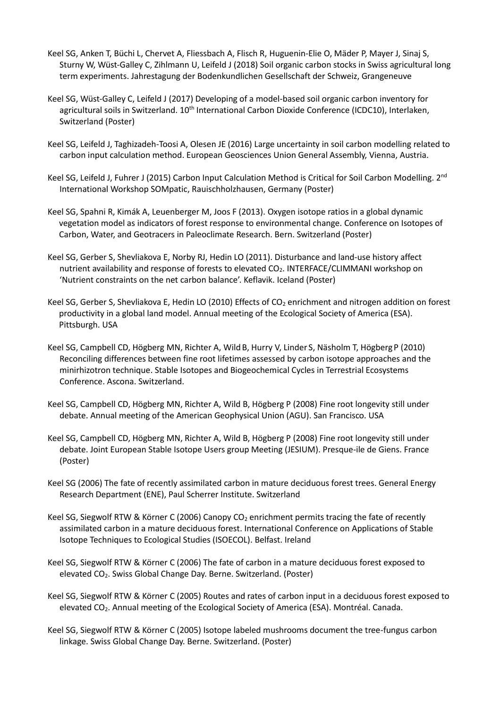- Keel SG, Anken T, Büchi L, Chervet A, Fliessbach A, Flisch R, Huguenin-Elie O, Mäder P, Mayer J, Sinaj S, Sturny W, Wüst-Galley C, Zihlmann U, Leifeld J (2018) Soil organic carbon stocks in Swiss agricultural long term experiments. Jahrestagung der Bodenkundlichen Gesellschaft der Schweiz, Grangeneuve
- Keel SG, Wüst-Galley C, Leifeld J (2017) Developing of a model-based soil organic carbon inventory for agricultural soils in Switzerland. 10<sup>th</sup> International Carbon Dioxide Conference (ICDC10), Interlaken, Switzerland (Poster)
- Keel SG, Leifeld J, Taghizadeh-Toosi A, Olesen JE (2016) Large uncertainty in soil carbon modelling related to carbon input calculation method. European Geosciences Union General Assembly, Vienna, Austria.
- Keel SG, Leifeld J, Fuhrer J (2015) Carbon Input Calculation Method is Critical for Soil Carbon Modelling. 2<sup>nd</sup> International Workshop SOMpatic, Rauischholzhausen, Germany (Poster)
- Keel SG, Spahni R, Kimák A, Leuenberger M, Joos F (2013). Oxygen isotope ratios in a global dynamic vegetation model as indicators of forest response to environmental change. Conference on Isotopes of Carbon, Water, and Geotracers in Paleoclimate Research. Bern. Switzerland (Poster)
- Keel SG, Gerber S, Shevliakova E, Norby RJ, Hedin LO (2011). Disturbance and land-use history affect nutrient availability and response of forests to elevated CO<sub>2</sub>. INTERFACE/CLIMMANI workshop on 'Nutrient constraints on the net carbon balance'. Keflavik. Iceland (Poster)
- Keel SG, Gerber S, Shevliakova E, Hedin LO (2010) Effects of CO<sub>2</sub> enrichment and nitrogen addition on forest productivity in a global land model. Annual meeting of the Ecological Society of America (ESA). Pittsburgh. USA
- Keel SG, Campbell CD, Högberg MN, Richter A, Wild B, Hurry V, Linder S, Näsholm T, Högberg P (2010) Reconciling differences between fine root lifetimes assessed by carbon isotope approaches and the minirhizotron technique. Stable Isotopes and Biogeochemical Cycles in Terrestrial Ecosystems Conference. Ascona. Switzerland.
- Keel SG, Campbell CD, Högberg MN, Richter A, Wild B, Högberg P (2008) Fine root longevity still under debate. Annual meeting of the American Geophysical Union (AGU). San Francisco. USA
- Keel SG, Campbell CD, Högberg MN, Richter A, Wild B, Högberg P (2008) Fine root longevity still under debate. Joint European Stable Isotope Users group Meeting (JESIUM). Presque-ile de Giens. France (Poster)
- Keel SG (2006) The fate of recently assimilated carbon in mature deciduous forest trees. General Energy Research Department (ENE), Paul Scherrer Institute. Switzerland
- Keel SG, Siegwolf RTW & Körner C (2006) Canopy CO<sub>2</sub> enrichment permits tracing the fate of recently assimilated carbon in a mature deciduous forest. International Conference on Applications of Stable Isotope Techniques to Ecological Studies (ISOECOL). Belfast. Ireland
- Keel SG, Siegwolf RTW & Körner C (2006) The fate of carbon in a mature deciduous forest exposed to elevated CO2. Swiss Global Change Day. Berne. Switzerland. (Poster)
- Keel SG, Siegwolf RTW & Körner C (2005) Routes and rates of carbon input in a deciduous forest exposed to elevated CO<sub>2</sub>. Annual meeting of the Ecological Society of America (ESA). Montréal. Canada.
- Keel SG, Siegwolf RTW & Körner C (2005) Isotope labeled mushrooms document the tree-fungus carbon linkage. Swiss Global Change Day. Berne. Switzerland. (Poster)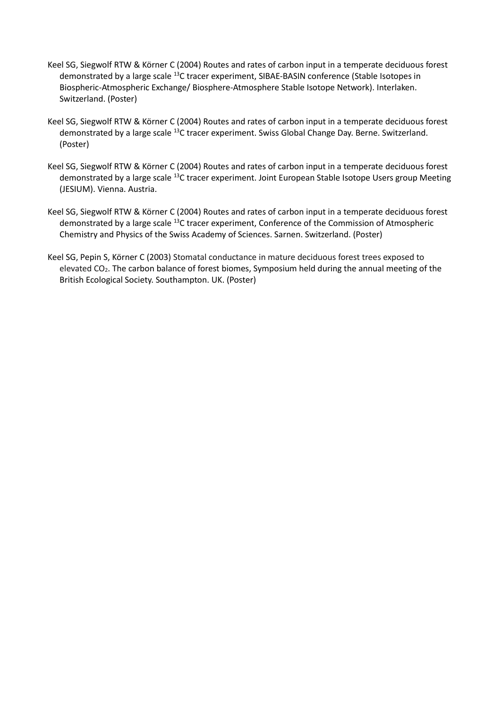- Keel SG, Siegwolf RTW & Körner C (2004) Routes and rates of carbon input in a temperate deciduous forest demonstrated by a large scale <sup>13</sup>C tracer experiment, SIBAE-BASIN conference (Stable Isotopes in Biospheric-Atmospheric Exchange/ Biosphere-Atmosphere Stable Isotope Network). Interlaken. Switzerland. (Poster)
- Keel SG, Siegwolf RTW & Körner C (2004) Routes and rates of carbon input in a temperate deciduous forest demonstrated by a large scale <sup>13</sup>C tracer experiment. Swiss Global Change Day. Berne. Switzerland. (Poster)
- Keel SG, Siegwolf RTW & Körner C (2004) Routes and rates of carbon input in a temperate deciduous forest demonstrated by a large scale <sup>13</sup>C tracer experiment. Joint European Stable Isotope Users group Meeting (JESIUM). Vienna. Austria.
- Keel SG, Siegwolf RTW & Körner C (2004) Routes and rates of carbon input in a temperate deciduous forest demonstrated by a large scale <sup>13</sup>C tracer experiment, Conference of the Commission of Atmospheric Chemistry and Physics of the Swiss Academy of Sciences. Sarnen. Switzerland. (Poster)
- Keel SG, Pepin S, Körner C (2003) Stomatal conductance in mature deciduous forest trees exposed to elevated CO<sub>2</sub>. The carbon balance of forest biomes, Symposium held during the annual meeting of the British Ecological Society. Southampton. UK. (Poster)